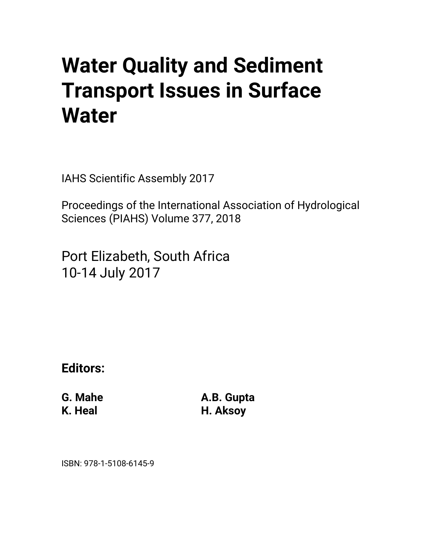# **Water Quality and Sediment Transport Issues in Surface Water**

IAHS Scientific Assembly 2017

Proceedings of the International Association of Hydrological Sciences (PIAHS) Volume 377, 2018

Port Elizabeth, South Africa 10-14 July 2017

**Editors:** 

**G. Mahe K. Heal** 

**A.B. Gupta H. Aksoy** 

ISBN: 978-1-5108-6145-9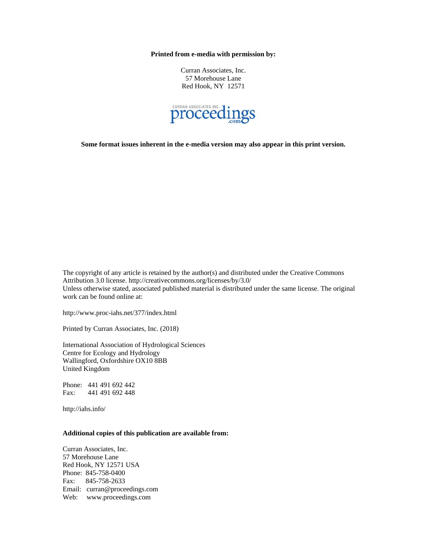**Printed from e-media with permission by:** 

Curran Associates, Inc. 57 Morehouse Lane Red Hook, NY 12571



**Some format issues inherent in the e-media version may also appear in this print version.** 

The copyright of any article is retained by the author(s) and distributed under the Creative Commons Attribution 3.0 license. http://creativecommons.org/licenses/by/3.0/ Unless otherwise stated, associated published material is distributed under the same license. The original work can be found online at:

http://www.proc-iahs.net/377/index.html

Printed by Curran Associates, Inc. (2018)

International Association of Hydrological Sciences Centre for Ecology and Hydrology Wallingford, Oxfordshire OX10 8BB United Kingdom

Phone: 441 491 692 442 Fax: 441 491 692 448

http://iahs.info/

#### **Additional copies of this publication are available from:**

Curran Associates, Inc. 57 Morehouse Lane Red Hook, NY 12571 USA Phone: 845-758-0400 Fax: 845-758-2633 Email: curran@proceedings.com Web: www.proceedings.com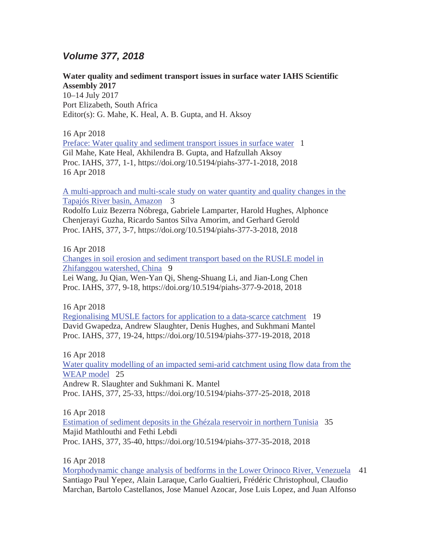## *Volume 377, 2018*

## **Water quality and sediment transport issues in surface water IAHS Scientific Assembly 2017**

10–14 July 2017 Port Elizabeth, South Africa Editor(s): G. Mahe, K. Heal, A. B. Gupta, and H. Aksoy

16 Apr 2018 Preface: Water quality and sediment transport issues in surface water 1 Gil Mahe, Kate Heal, Akhilendra B. Gupta, and Hafzullah Aksoy Proc. IAHS, 377, 1-1, https://doi.org/10.5194/piahs-377-1-2018, 2018 16 Apr 2018

A multi-approach and multi-scale study on water quantity and quality changes in the Tapajós River basin, Amazon 3

Rodolfo Luiz Bezerra Nóbrega, Gabriele Lamparter, Harold Hughes, Alphonce Chenjerayi Guzha, Ricardo Santos Silva Amorim, and Gerhard Gerold Proc. IAHS, 377, 3-7, https://doi.org/10.5194/piahs-377-3-2018, 2018

### 16 Apr 2018

Changes in soil erosion and sediment transport based on the RUSLE model in Zhifanggou watershed, China 9

Lei Wang, Ju Qian, Wen-Yan Qi, Sheng-Shuang Li, and Jian-Long Chen Proc. IAHS, 377, 9-18, https://doi.org/10.5194/piahs-377-9-2018, 2018

16 Apr 2018

Regionalising MUSLE factors for application to a data-scarce catchment 19 David Gwapedza, Andrew Slaughter, Denis Hughes, and Sukhmani Mantel Proc. IAHS, 377, 19-24, https://doi.org/10.5194/piahs-377-19-2018, 2018

16 Apr 2018

Water quality modelling of an impacted semi-arid catchment using flow data from the WEAP model 25 Andrew R. Slaughter and Sukhmani K. Mantel

Proc. IAHS, 377, 25-33, https://doi.org/10.5194/piahs-377-25-2018, 2018

16 Apr 2018

Estimation of sediment deposits in the Ghézala reservoir in northern Tunisia 35 Majid Mathlouthi and Fethi Lebdi Proc. IAHS, 377, 35-40, https://doi.org/10.5194/piahs-377-35-2018, 2018

16 Apr 2018

Morphodynamic change analysis of bedforms in the Lower Orinoco River, Venezuela 41 Santiago Paul Yepez, Alain Laraque, Carlo Gualtieri, Frédéric Christophoul, Claudio Marchan, Bartolo Castellanos, Jose Manuel Azocar, Jose Luis Lopez, and Juan Alfonso